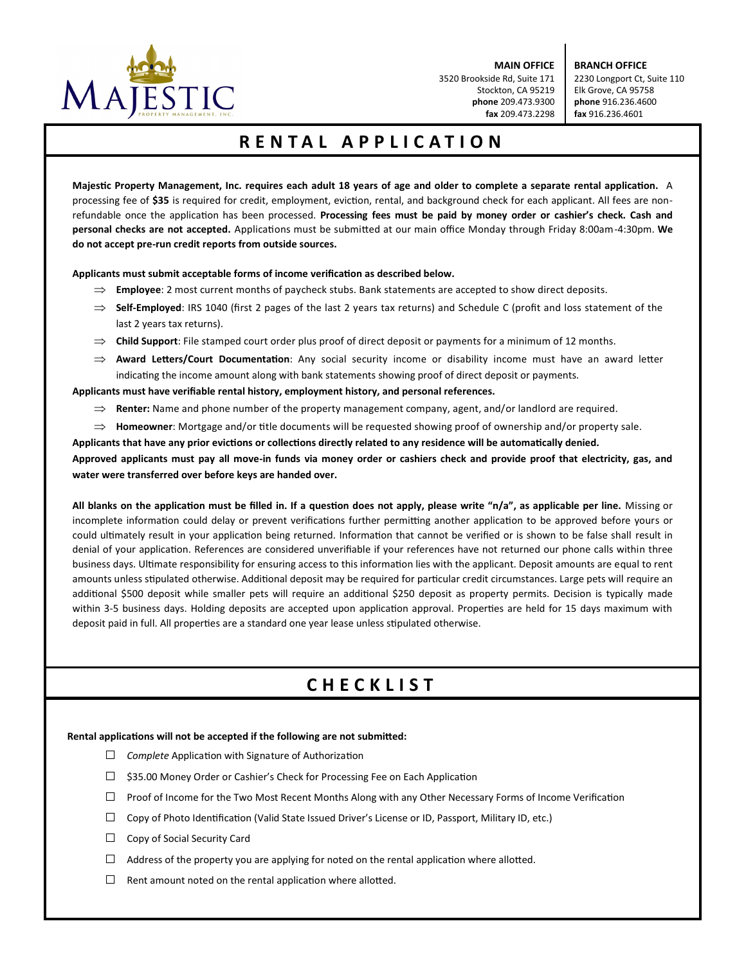

**MAIN OFFICE** 3520 Brookside Rd, Suite 171 Stockton, CA 95219 **phone** 209.473.9300 **fax** 209.473.2298

**BRANCH OFFICE** 2230 Longport Ct, Suite 110 Elk Grove, CA 95758 **phone** 916.236.4600 **fax** 916.236.4601

## **RENTAL APPLICATION**

**Majestc Property Management, Inc. requires each adult 18 years of age and older to complete a separate rental applicaton.** A processing fee of \$35 is required for credit, employment, eviction, rental, and background check for each applicant. All fees are nonrefundable once the applicaton has been processed. **Processing fees must be paid by money order or cashier's check. Cash and personal checks are not accepted.** Applications must be submitted at our main office Monday through Friday 8:00am-4:30pm. We **do not accept pre-run credit reports from outside sources.**

Applicants must submit acceptable forms of income verification as described below.

- **Employee**: 2 most current months of paycheck stubs. Bank statements are accepted to show direct deposits.
- ⇒ **Self-Employed**: IRS 1040 (first 2 pages of the last 2 years tax returns) and Schedule C (profit and loss statement of the last 2 years tax returns).
- **Child Support**: File stamped court order plus proof of direct deposit or payments for a minimum of 12 months.
- **Award Leters/Court Documentaton**: Any social security income or disability income must have an award leter indicating the income amount along with bank statements showing proof of direct deposit or payments.

**Applicants must have verifable rental history, employment history, and personal references.**

- **Renter:** Name and phone number of the property management company, agent, and/or landlord are required.
- $\Rightarrow$  **Homeowner**: Mortgage and/or title documents will be requested showing proof of ownership and/or property sale.

**Applicants that have any prior evictons or collectons directly related to any residence will be automatcally denied. Approved applicants must pay all move-in funds via money order or cashiers check and provide proof that electricity, gas, and water were transferred over before keys are handed over.**

**All blanks on the applicaton must be flled in. If a queston does not apply, please write "n/a", as applicable per line.** Missing or incomplete information could delay or prevent verifications further permitting another application to be approved before yours or could ultimately result in your application being returned. Information that cannot be verified or is shown to be false shall result in denial of your applicaton. References are considered unverifable if your references have not returned our phone calls within three business days. Ultmate responsibility for ensuring access to this informaton lies with the applicant. Deposit amounts are equal to rent amounts unless stipulated otherwise. Additional deposit may be required for particular credit circumstances. Large pets will require an additional \$500 deposit while smaller pets will require an additional \$250 deposit as property permits. Decision is typically made within 3-5 business days. Holding deposits are accepted upon application approval. Properties are held for 15 days maximum with deposit paid in full. All properties are a standard one year lease unless stipulated otherwise.

## **CHECKLIST**

#### **Rental applicatons will not be accepted if the following are not submited:**

- □ *Complete* Application with Signature of Authorization
- □ \$35.00 Money Order or Cashier's Check for Processing Fee on Each Application
- $\Box$  Proof of Income for the Two Most Recent Months Along with any Other Necessary Forms of Income Verification
- $\square$  Copy of Photo Identification (Valid State Issued Driver's License or ID, Passport, Military ID, etc.)
- $\Box$  Copy of Social Security Card
- $\Box$  Address of the property you are applying for noted on the rental application where allotted.
- $\Box$  Rent amount noted on the rental application where allotted.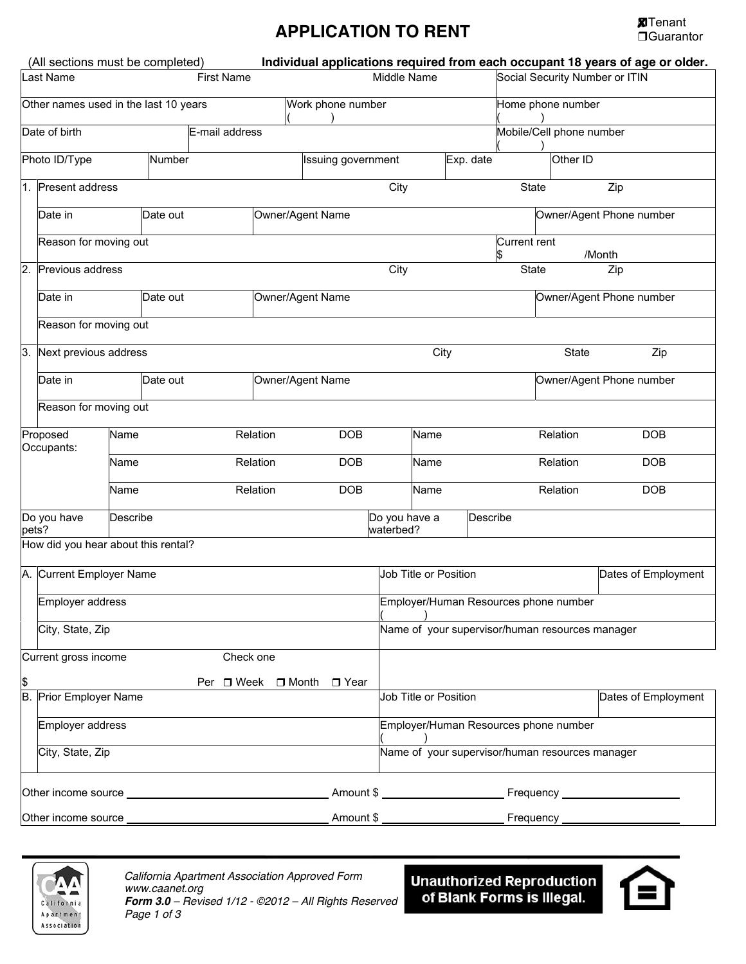# **APPLICATION TO RENT ICATION ICATION ICATION ICATION ICATION ICATION**

|                                  | (All sections must be completed)<br>Individual applications required from each occupant 18 years of age or older. |          |                   |                    |                           |            |                                       |                                                 |                                       |                          |                          |                     |  |
|----------------------------------|-------------------------------------------------------------------------------------------------------------------|----------|-------------------|--------------------|---------------------------|------------|---------------------------------------|-------------------------------------------------|---------------------------------------|--------------------------|--------------------------|---------------------|--|
| Last Name                        |                                                                                                                   |          | <b>First Name</b> | Middle Name        |                           |            |                                       | Social Security Number or ITIN                  |                                       |                          |                          |                     |  |
|                                  | Other names used in the last 10 years                                                                             |          |                   |                    | Work phone number         |            |                                       | Home phone number                               |                                       |                          |                          |                     |  |
|                                  | Date of birth<br>E-mail address                                                                                   |          |                   |                    |                           |            | Mobile/Cell phone number              |                                                 |                                       |                          |                          |                     |  |
|                                  | Photo ID/Type                                                                                                     |          | Number            |                    | <b>Issuing government</b> |            |                                       | Exp. date                                       |                                       |                          | Other ID                 |                     |  |
|                                  | 1. Present address                                                                                                |          |                   |                    |                           | City       |                                       |                                                 | State<br>Zip                          |                          |                          |                     |  |
|                                  | Date in                                                                                                           |          | Date out          |                    | Owner/Agent Name          |            |                                       |                                                 |                                       | Owner/Agent Phone number |                          |                     |  |
|                                  | Reason for moving out                                                                                             |          |                   |                    |                           |            |                                       |                                                 |                                       | Current rent<br>\$       |                          | /Month              |  |
| 2.                               | Previous address                                                                                                  |          |                   | City               |                           |            | State<br>Zip                          |                                                 |                                       |                          |                          |                     |  |
|                                  | Date in                                                                                                           |          | Date out          |                    | Owner/Agent Name          |            |                                       |                                                 |                                       |                          | Owner/Agent Phone number |                     |  |
|                                  | Reason for moving out                                                                                             |          |                   |                    |                           |            |                                       |                                                 |                                       |                          |                          |                     |  |
| 3.                               | Next previous address                                                                                             |          |                   |                    |                           |            |                                       | City                                            |                                       |                          | <b>State</b>             | Zip                 |  |
|                                  | Date in                                                                                                           |          | Date out          |                    | Owner/Agent Name          |            |                                       |                                                 |                                       |                          | Owner/Agent Phone number |                     |  |
|                                  | Reason for moving out                                                                                             |          |                   |                    |                           |            |                                       |                                                 |                                       |                          |                          |                     |  |
| Proposed<br>Occupants:           |                                                                                                                   | Name     |                   |                    | Relation                  | <b>DOB</b> |                                       | Name                                            |                                       |                          | Relation                 | <b>DOB</b>          |  |
|                                  |                                                                                                                   | Name     |                   |                    | Relation                  | <b>DOB</b> |                                       | Name                                            |                                       |                          | Relation                 | <b>DOB</b>          |  |
|                                  |                                                                                                                   | Name     |                   |                    | Relation                  | <b>DOB</b> |                                       | Name                                            |                                       |                          | Relation                 | <b>DOB</b>          |  |
|                                  | Do you have<br>pets?                                                                                              | Describe |                   |                    |                           |            | Do you have a<br>waterbed?            |                                                 | Describe                              |                          |                          |                     |  |
|                                  | How did you hear about this rental?                                                                               |          |                   |                    |                           |            |                                       |                                                 |                                       |                          |                          |                     |  |
| A. Current Employer Name         |                                                                                                                   |          |                   |                    |                           |            |                                       |                                                 | Job Title or Position                 |                          |                          | Dates of Employment |  |
|                                  | Employer address                                                                                                  |          |                   |                    |                           |            |                                       |                                                 | Employer/Human Resources phone number |                          |                          |                     |  |
|                                  | City, State, Zip                                                                                                  |          |                   |                    |                           |            |                                       | Name of your supervisor/human resources manager |                                       |                          |                          |                     |  |
|                                  | Current gross income                                                                                              |          |                   | Check one          |                           |            |                                       |                                                 |                                       |                          |                          |                     |  |
| \$<br>B.                         | Prior Employer Name                                                                                               |          |                   | Per □ Week □ Month |                           | □ Year     |                                       | Job Title or Position                           |                                       |                          |                          | Dates of Employment |  |
|                                  | Employer address                                                                                                  |          |                   |                    |                           |            | Employer/Human Resources phone number |                                                 |                                       |                          |                          |                     |  |
|                                  | City, State, Zip                                                                                                  |          |                   |                    |                           |            |                                       | Name of your supervisor/human resources manager |                                       |                          |                          |                     |  |
|                                  |                                                                                                                   |          |                   |                    |                           |            |                                       |                                                 |                                       |                          |                          |                     |  |
|                                  | Amount \$<br>Other income source _                                                                                |          |                   |                    |                           |            |                                       |                                                 |                                       |                          | Frequency_               |                     |  |
| Amount \$<br>Other income source |                                                                                                                   |          |                   |                    |                           |            |                                       |                                                 |                                       | Frequency_               |                          |                     |  |



Unauthorized Reproduction<br>| of Blank Forms is Illegal.

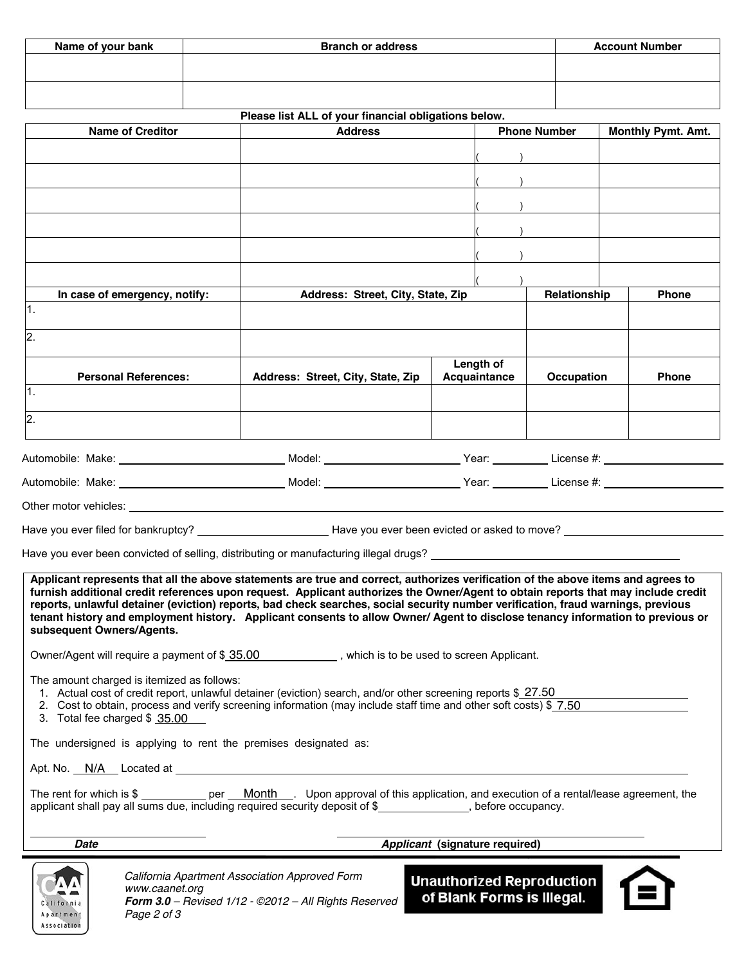| Name of your bank | <b>Branch or address</b> | <b>Account Number</b> |
|-------------------|--------------------------|-----------------------|
|                   |                          |                       |
|                   |                          |                       |
|                   |                          |                       |

|                                                                                                                                                                                                                                                                   | Please list ALL of your financial obligations below.  |                                  |                     |                           |  |  |
|-------------------------------------------------------------------------------------------------------------------------------------------------------------------------------------------------------------------------------------------------------------------|-------------------------------------------------------|----------------------------------|---------------------|---------------------------|--|--|
| <b>Name of Creditor</b>                                                                                                                                                                                                                                           | <b>Address</b>                                        |                                  | <b>Phone Number</b> | <b>Monthly Pymt. Amt.</b> |  |  |
|                                                                                                                                                                                                                                                                   |                                                       |                                  |                     |                           |  |  |
|                                                                                                                                                                                                                                                                   |                                                       |                                  |                     |                           |  |  |
|                                                                                                                                                                                                                                                                   |                                                       |                                  |                     |                           |  |  |
|                                                                                                                                                                                                                                                                   |                                                       |                                  |                     |                           |  |  |
|                                                                                                                                                                                                                                                                   |                                                       |                                  |                     |                           |  |  |
|                                                                                                                                                                                                                                                                   |                                                       |                                  |                     |                           |  |  |
|                                                                                                                                                                                                                                                                   |                                                       |                                  |                     |                           |  |  |
|                                                                                                                                                                                                                                                                   |                                                       |                                  |                     |                           |  |  |
| In case of emergency, notify:                                                                                                                                                                                                                                     | Address: Street, City, State, Zip                     |                                  | Relationship        | <b>Phone</b>              |  |  |
| 1.                                                                                                                                                                                                                                                                |                                                       |                                  |                     |                           |  |  |
| $\overline{2}$ .                                                                                                                                                                                                                                                  |                                                       |                                  |                     |                           |  |  |
|                                                                                                                                                                                                                                                                   |                                                       |                                  |                     |                           |  |  |
| <b>Personal References:</b>                                                                                                                                                                                                                                       | Address: Street, City, State, Zip                     | Length of<br>Acquaintance        | Occupation          | <b>Phone</b>              |  |  |
| 1.                                                                                                                                                                                                                                                                |                                                       |                                  |                     |                           |  |  |
|                                                                                                                                                                                                                                                                   |                                                       |                                  |                     |                           |  |  |
| $\overline{2}$ .                                                                                                                                                                                                                                                  |                                                       |                                  |                     |                           |  |  |
|                                                                                                                                                                                                                                                                   |                                                       |                                  |                     |                           |  |  |
| Automobile: Make: __________________________________Model: __________________________Year: ____________License #: ____________________                                                                                                                            |                                                       |                                  |                     |                           |  |  |
| Automobile: Make: ________________________________Model: _______________________Year: __________License #: ____                                                                                                                                                   |                                                       |                                  |                     |                           |  |  |
|                                                                                                                                                                                                                                                                   |                                                       |                                  |                     |                           |  |  |
|                                                                                                                                                                                                                                                                   |                                                       |                                  |                     |                           |  |  |
|                                                                                                                                                                                                                                                                   |                                                       |                                  |                     |                           |  |  |
|                                                                                                                                                                                                                                                                   |                                                       |                                  |                     |                           |  |  |
| Applicant represents that all the above statements are true and correct, authorizes verification of the above items and agrees to                                                                                                                                 |                                                       |                                  |                     |                           |  |  |
| furnish additional credit references upon request. Applicant authorizes the Owner/Agent to obtain reports that may include credit                                                                                                                                 |                                                       |                                  |                     |                           |  |  |
| reports, unlawful detainer (eviction) reports, bad check searches, social security number verification, fraud warnings, previous<br>tenant history and employment history. Applicant consents to allow Owner/Agent to disclose tenancy information to previous or |                                                       |                                  |                     |                           |  |  |
| subsequent Owners/Agents.                                                                                                                                                                                                                                         |                                                       |                                  |                     |                           |  |  |
| Owner/Agent will require a payment of \$ 35.00 with the state is to be used to screen Applicant.                                                                                                                                                                  |                                                       |                                  |                     |                           |  |  |
|                                                                                                                                                                                                                                                                   |                                                       |                                  |                     |                           |  |  |
| The amount charged is itemized as follows:                                                                                                                                                                                                                        |                                                       |                                  |                     |                           |  |  |
| 1. Actual cost of credit report, unlawful detainer (eviction) search, and/or other screening reports \$27.50<br>2. Cost to obtain, process and verify screening information (may include staff time and other soft costs) \$7.50                                  |                                                       |                                  |                     |                           |  |  |
| 3. Total fee charged \$ 35.00                                                                                                                                                                                                                                     |                                                       |                                  |                     |                           |  |  |
| The undersigned is applying to rent the premises designated as:                                                                                                                                                                                                   |                                                       |                                  |                     |                           |  |  |
|                                                                                                                                                                                                                                                                   |                                                       |                                  |                     |                           |  |  |
|                                                                                                                                                                                                                                                                   |                                                       |                                  |                     |                           |  |  |
| The rent for which is \$ ___________ per __ Month ___. Upon approval of this application, and execution of a rental/lease agreement, the<br>applicant shall pay all sums due, including required security deposit of \$_____________, before occupancy.           |                                                       |                                  |                     |                           |  |  |
| <b>Date</b>                                                                                                                                                                                                                                                       | Applicant (signature required)                        |                                  |                     |                           |  |  |
|                                                                                                                                                                                                                                                                   |                                                       |                                  |                     |                           |  |  |
| www.caanet.org                                                                                                                                                                                                                                                    | California Apartment Association Approved Form        | <b>Unauthorized Reproduction</b> |                     |                           |  |  |
| California                                                                                                                                                                                                                                                        | Form 3.0 - Revised 1/12 - @2012 - All Rights Reserved | of Blank Forms is Illegal.       |                     |                           |  |  |

*California Apartment Association Approved Form www.caanet.org Form 3.0 – Revised 1/12 - ©2012 – All Rights Reserved Page 2 of 3*